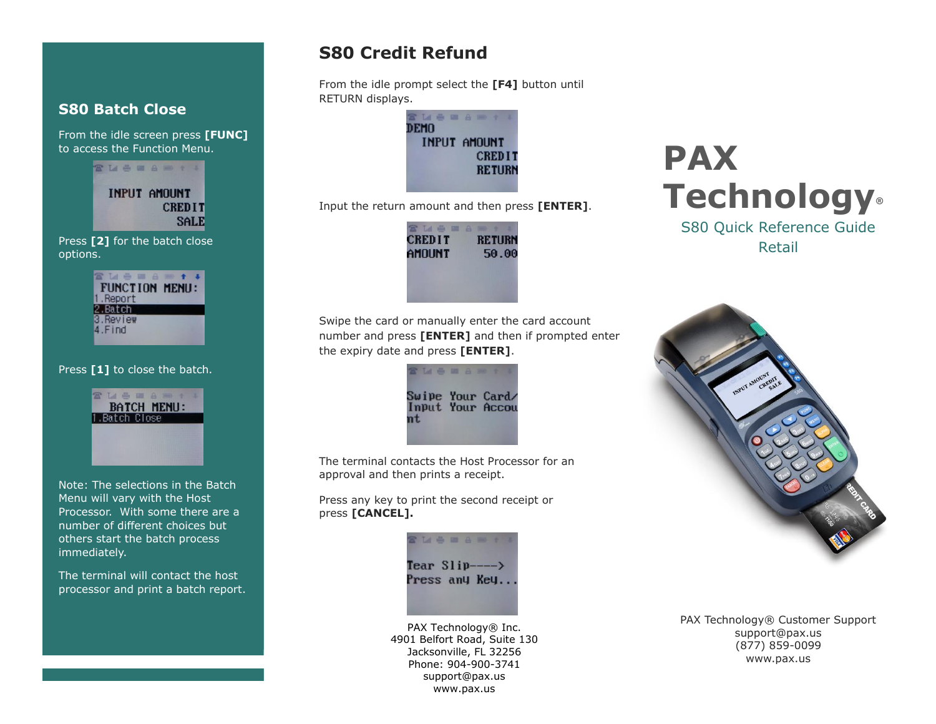### **S80 Batch Close**

From the idle screen press **[FUNC]** to access the Function Menu.

> INPUT AMOUNT **CREDIT SALE**

SM & B & B + 1

Press **[2]** for the batch close options.

|           | <b>BOOK</b> |                |
|-----------|-------------|----------------|
|           |             | FUNCTION MENU: |
| 1.Report  |             |                |
| 2.Batch   |             |                |
| 3. Review |             |                |
| 4.Find    |             |                |
|           |             |                |

#### Press **[1]** to close the batch.

1.Batch Close

**THERAMIN** 

**BATCH MENU:** 

Note: The selections in the Batch Menu will vary with the Host Processor. With some there are a number of different choices but others start the batch process

immediately. The terminal will contact the host

processor and print a batch report.

### **S80 Credit Refund**

From the idle prompt select the **[F4]** button until RETURN displays.



Input the return amount and then press **[ENTER]**.



Swipe the card or manually enter the card account number and press **[ENTER]** and then if prompted enter the expiry date and press **[ENTER]**.



The terminal contacts the Host Processor for an approval and then prints a receipt.

Press any key to print the second receipt or press **[CANCEL].**

> **LABBARY** Tear  $Slip---\rightarrow$ Press any Key..

PAX Technology® Inc. 4901 Belfort Road, Suite 130 Jacksonville, FL 32256 Phone: 904-900-3741 support@pax.us www.pax.us

# **PAX Technology®**

S80 Quick Reference Guide Retail



PAX Technology® Customer Support support@pax.us (877) 859-0099 www.pax.us